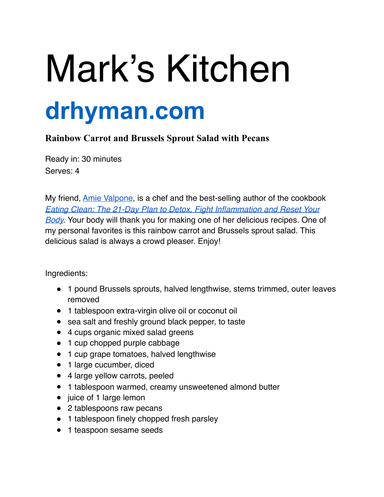## Mark's Kitchen **drhyman.com**

## **Rainbow Carrot and Brussels Sprout Salad with Pecans**

Ready in: 30 minutes Serves: 4

My friend, **Amie Valpone**, is a chef and the best-selling author of the cookbook *[Eating Clean: The 21-Day Plan to Detox, Fight Inflammation and Reset Your](http://thehealthyapple.com/books/eating-clean/)  Body.* Your body will thank you for making one of her delicious recipes. One of my personal favorites is this rainbow carrot and Brussels sprout salad. This delicious salad is always a crowd pleaser. Enjoy!

Ingredients:

- 1 pound Brussels sprouts, halved lengthwise, stems trimmed, outer leaves removed
- 1 tablespoon extra-virgin olive oil or coconut oil
- sea salt and freshly ground black pepper, to taste
- 4 cups organic mixed salad greens
- 1 cup chopped purple cabbage
- 1 cup grape tomatoes, halved lengthwise
- 1 large cucumber, diced
- 4 large yellow carrots, peeled
- 1 tablespoon warmed, creamy unsweetened almond butter
- juice of 1 large lemon
- 2 tablespoons raw pecans
- 1 tablespoon finely chopped fresh parsley
- 1 teaspoon sesame seeds